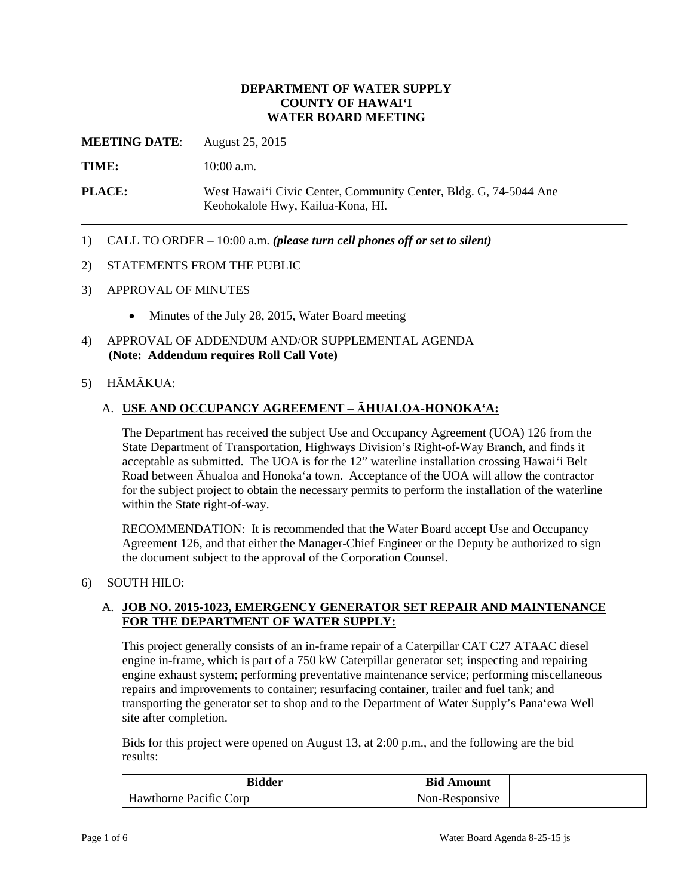### **DEPARTMENT OF WATER SUPPLY COUNTY OF HAWAI'I WATER BOARD MEETING**

**MEETING DATE:** August 25, 2015

TIME: **10:00 a.m.** 

**PLACE:** West Hawai'i Civic Center, Community Center, Bldg. G, 74-5044 Ane Keohokalole Hwy, Kailua-Kona, HI.

1) CALL TO ORDER – 10:00 a.m. *(please turn cell phones off or set to silent)* 

#### 2) STATEMENTS FROM THE PUBLIC

- 3) APPROVAL OF MINUTES
	- Minutes of the July 28, 2015, Water Board meeting
- 4) APPROVAL OF ADDENDUM AND/OR SUPPLEMENTAL AGENDA **(Note: Addendum requires Roll Call Vote)**

#### 5) HĀMĀKUA:

### A. **USE AND OCCUPANCY AGREEMENT – ĀHUALOA-HONOKA'A:**

 acceptable as submitted. The UOA is for the 12" waterline installation crossing Hawai'i Belt The Department has received the subject Use and Occupancy Agreement (UOA) 126 from the State Department of Transportation, Highways Division's Right-of-Way Branch, and finds it Road between Āhualoa and Honoka'a town. Acceptance of the UOA will allow the contractor for the subject project to obtain the necessary permits to perform the installation of the waterline within the State right-of-way.

**RECOMMENDATION:** It is recommended that the Water Board accept Use and Occupancy Agreement 126, and that either the Manager-Chief Engineer or the Deputy be authorized to sign the document subject to the approval of the Corporation Counsel.

#### 6) SOUTH HILO:

### A. **JOB NO. 2015-1023, EMERGENCY GENERATOR SET REPAIR AND MAINTENANCE FOR THE DEPARTMENT OF WATER SUPPLY:**

 engine in-frame, which is part of a 750 kW Caterpillar generator set; inspecting and repairing transporting the generator set to shop and to the Department of Water Supply's Pana'ewa Well This project generally consists of an in-frame repair of a Caterpillar CAT C27 ATAAC diesel engine exhaust system; performing preventative maintenance service; performing miscellaneous repairs and improvements to container; resurfacing container, trailer and fuel tank; and site after completion.

Bids for this project were opened on August 13, at 2:00 p.m., and the following are the bid results:

| <b>Bidder</b>                                                    | <b>Bid</b><br>' Amount |  |
|------------------------------------------------------------------|------------------------|--|
| $\mathbf{v}$<br>$\cdot$ $\sim$<br>Corp<br>Hawthorne<br>Pacific C | Non-Responsive         |  |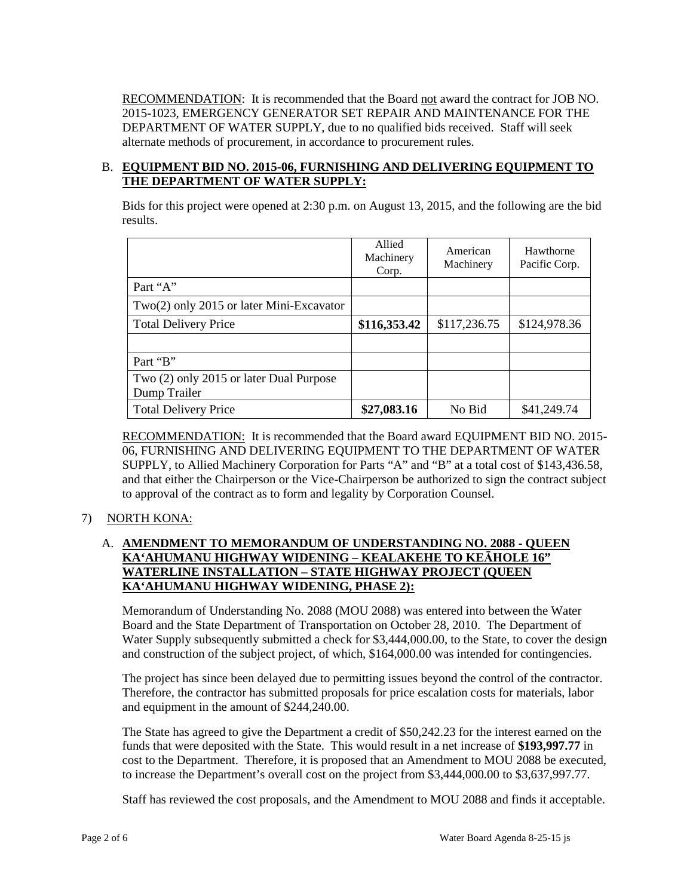RECOMMENDATION: It is recommended that the Board not award the contract for JOB NO. DEPARTMENT OF WATER SUPPLY, due to no qualified bids received. Staff will seek alternate methods of procurement, in accordance to procurement rules. 2015-1023, EMERGENCY GENERATOR SET REPAIR AND MAINTENANCE FOR THE

## B. **EQUIPMENT BID NO. 2015-06, FURNISHING AND DELIVERING EQUIPMENT TO THE DEPARTMENT OF WATER SUPPLY:**

Bids for this project were opened at 2:30 p.m. on August 13, 2015, and the following are the bid results.

|                                            | Allied<br>Machinery<br>Corp. | American<br>Machinery | Hawthorne<br>Pacific Corp. |
|--------------------------------------------|------------------------------|-----------------------|----------------------------|
| Part "A"                                   |                              |                       |                            |
| $Two(2)$ only 2015 or later Mini-Excavator |                              |                       |                            |
| <b>Total Delivery Price</b>                | \$116,353.42                 | \$117,236.75          | \$124,978.36               |
|                                            |                              |                       |                            |
| Part "B"                                   |                              |                       |                            |
| Two (2) only 2015 or later Dual Purpose    |                              |                       |                            |
| Dump Trailer                               |                              |                       |                            |
| <b>Total Delivery Price</b>                | \$27,083.16                  | No Bid                | \$41,249.74                |

RECOMMENDATION: It is recommended that the Board award EQUIPMENT BID NO. 2015- SUPPLY, to Allied Machinery Corporation for Parts "A" and "B" at a total cost of \$143,436.58, 06, FURNISHING AND DELIVERING EQUIPMENT TO THE DEPARTMENT OF WATER and that either the Chairperson or the Vice-Chairperson be authorized to sign the contract subject to approval of the contract as to form and legality by Corporation Counsel.

# 7) NORTH KONA:

# A. **AMENDMENT TO MEMORANDUM OF UNDERSTANDING NO. 2088 - QUEEN KA'AHUMANU HIGHWAY WIDENING – KEALAKEHE TO KEĀHOLE 16" WATERLINE INSTALLATION – STATE HIGHWAY PROJECT (QUEEN KA'AHUMANU HIGHWAY WIDENING, PHASE 2):**

 Memorandum of Understanding No. 2088 (MOU 2088) was entered into between the Water and construction of the subject project, of which, \$164,000.00 was intended for contingencies. Board and the State Department of Transportation on October 28, 2010. The Department of Water Supply subsequently submitted a check for \$3,444,000.00, to the State, to cover the design

The project has since been delayed due to permitting issues beyond the control of the contractor. Therefore, the contractor has submitted proposals for price escalation costs for materials, labor and equipment in the amount of \$244,240.00.

 The State has agreed to give the Department a credit of \$50,242.23 for the interest earned on the funds that were deposited with the State. This would result in a net increase of **\$193,997.77** in cost to the Department. Therefore, it is proposed that an Amendment to MOU 2088 be executed, to increase the Department's overall cost on the project from \$3,444,000.00 to \$3,637,997.77.

Staff has reviewed the cost proposals, and the Amendment to MOU 2088 and finds it acceptable.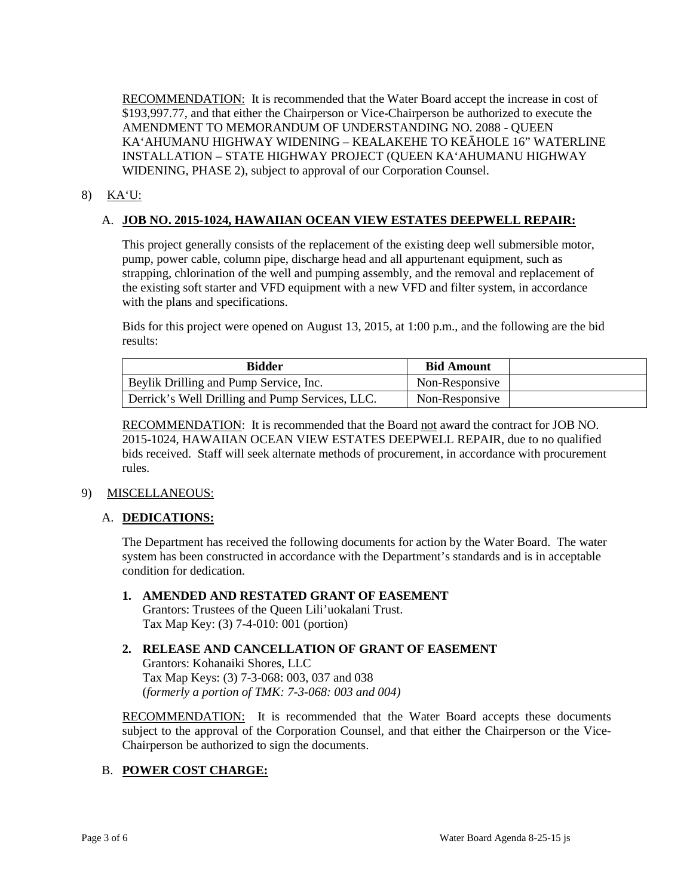RECOMMENDATION: It is recommended that the Water Board accept the increase in cost of \$193,997.77, and that either the Chairperson or Vice-Chairperson be authorized to execute the AMENDMENT TO MEMORANDUM OF UNDERSTANDING NO. 2088 - QUEEN KA'AHUMANU HIGHWAY WIDENING – KEALAKEHE TO KEĀHOLE 16" WATERLINE INSTALLATION – STATE HIGHWAY PROJECT (QUEEN KA'AHUMANU HIGHWAY WIDENING, PHASE 2), subject to approval of our Corporation Counsel.

## 8) KA'U:

## A. **JOB NO. 2015-1024, HAWAIIAN OCEAN VIEW ESTATES DEEPWELL REPAIR:**

 the existing soft starter and VFD equipment with a new VFD and filter system, in accordance This project generally consists of the replacement of the existing deep well submersible motor, pump, power cable, column pipe, discharge head and all appurtenant equipment, such as strapping, chlorination of the well and pumping assembly, and the removal and replacement of with the plans and specifications.

Bids for this project were opened on August 13, 2015, at 1:00 p.m., and the following are the bid results:

| <b>Bidder</b>                                   | <b>Bid Amount</b> |  |
|-------------------------------------------------|-------------------|--|
| Beylik Drilling and Pump Service, Inc.          | Non-Responsive    |  |
| Derrick's Well Drilling and Pump Services, LLC. | Non-Responsive    |  |

RECOMMENDATION: It is recommended that the Board not award the contract for JOB NO. 2015-1024, HAWAIIAN OCEAN VIEW ESTATES DEEPWELL REPAIR, due to no qualified bids received. Staff will seek alternate methods of procurement, in accordance with procurement rules.

### 9) MISCELLANEOUS:

### A. **DEDICATIONS:**

 The Department has received the following documents for action by the Water Board. The water system has been constructed in accordance with the Department's standards and is in acceptable condition for dedication.

**1. AMENDED AND RESTATED GRANT OF EASEMENT**  Grantors: Trustees of the Queen Lili'uokalani Trust. Tax Map Key: (3) 7-4-010: 001 (portion)

# **2. RELEASE AND CANCELLATION OF GRANT OF EASEMENT**

Grantors: Kohanaiki Shores, LLC Tax Map Keys: (3) 7-3-068: 003, 037 and 038 (*formerly a portion of TMK: 7-3-068: 003 and 004)*

**RECOMMENDATION:** It is recommended that the Water Board accepts these documents subject to the approval of the Corporation Counsel, and that either the Chairperson or the Vice-Chairperson be authorized to sign the documents.

### B. **POWER COST CHARGE:**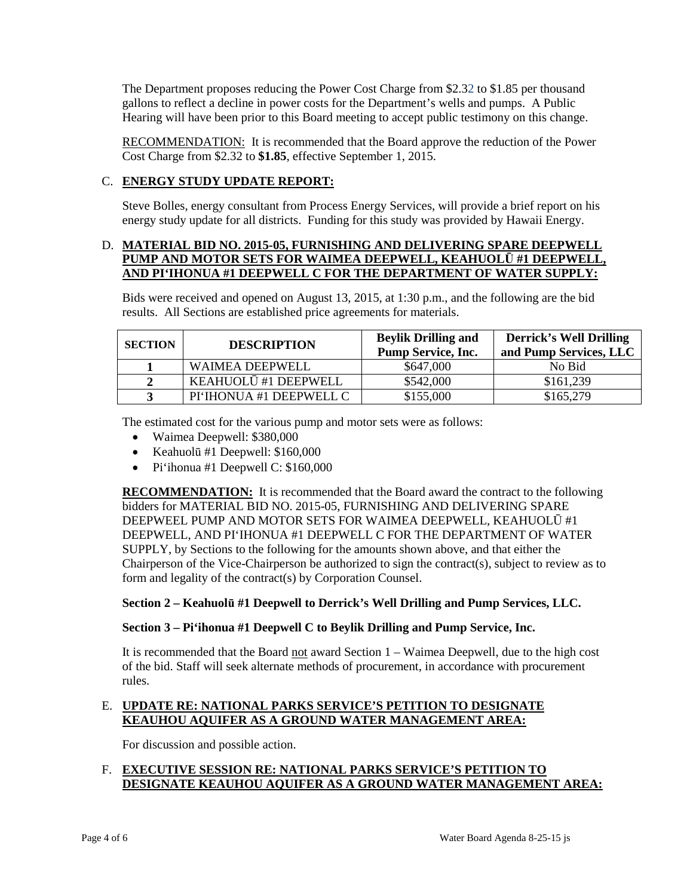gallons to reflect a decline in power costs for the Department's wells and pumps. A Public The Department proposes reducing the Power Cost Charge from \$2.32 to \$1.85 per thousand Hearing will have been prior to this Board meeting to accept public testimony on this change.

RECOMMENDATION: It is recommended that the Board approve the reduction of the Power Cost Charge from \$2.32 to **\$1.85**, effective September 1, 2015.

# C. **ENERGY STUDY UPDATE REPORT:**

Steve Bolles, energy consultant from Process Energy Services, will provide a brief report on his energy study update for all districts. Funding for this study was provided by Hawaii Energy.

## D. **MATERIAL BID NO. 2015-05, FURNISHING AND DELIVERING SPARE DEEPWELL PUMP AND MOTOR SETS FOR WAIMEA DEEPWELL, KEAHUOLŪ #1 DEEPWELL, AND PI'IHONUA #1 DEEPWELL C FOR THE DEPARTMENT OF WATER SUPPLY:**

Bids were received and opened on August 13, 2015, at 1:30 p.m., and the following are the bid results. All Sections are established price agreements for materials.

| <b>SECTION</b> | <b>DESCRIPTION</b>      | <b>Beylik Drilling and</b> | <b>Derrick's Well Drilling</b> |
|----------------|-------------------------|----------------------------|--------------------------------|
|                |                         | <b>Pump Service, Inc.</b>  | and Pump Services, LLC         |
|                | WAIMEA DEEPWELL         | \$647,000                  | No Bid                         |
|                | KEAHUOLŪ #1 DEEPWELL    | \$542,000                  | \$161,239                      |
|                | PI'IHONUA #1 DEEPWELL C | \$155,000                  | \$165,279                      |

The estimated cost for the various pump and motor sets were as follows:

- Waimea Deepwell: \$380,000
- Keahuolū #1 Deepwell: \$160,000
- Pi'ihonua #1 Deepwell C: \$160,000

**RECOMMENDATION:** It is recommended that the Board award the contract to the following bidders for MATERIAL BID NO. 2015-05, FURNISHING AND DELIVERING SPARE SUPPLY, by Sections to the following for the amounts shown above, and that either the DEEPWEEL PUMP AND MOTOR SETS FOR WAIMEA DEEPWELL, KEAHUOLŪ #1 DEEPWELL, AND PI'IHONUA #1 DEEPWELL C FOR THE DEPARTMENT OF WATER Chairperson of the Vice-Chairperson be authorized to sign the contract(s), subject to review as to form and legality of the contract(s) by Corporation Counsel.

# **Section 2 – Keahuolū #1 Deepwell to Derrick's Well Drilling and Pump Services, LLC.**

### **Section 3 – Pi'ihonua #1 Deepwell C to Beylik Drilling and Pump Service, Inc.**

It is recommended that the Board not award Section 1 – Waimea Deepwell, due to the high cost of the bid. Staff will seek alternate methods of procurement, in accordance with procurement rules.

## E. **UPDATE RE: NATIONAL PARKS SERVICE'S PETITION TO DESIGNATE KEAUHOU AQUIFER AS A GROUND WATER MANAGEMENT AREA:**

For discussion and possible action.

## F. **EXECUTIVE SESSION RE: NATIONAL PARKS SERVICE'S PETITION TO DESIGNATE KEAUHOU AQUIFER AS A GROUND WATER MANAGEMENT AREA:**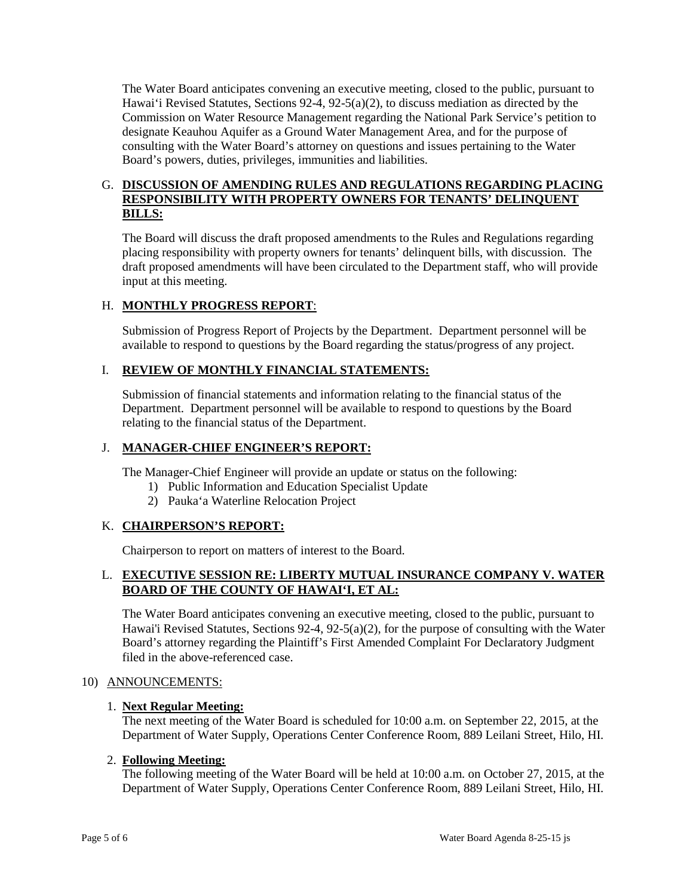Hawai'i Revised Statutes, Sections 92-4, 92-5(a)(2), to discuss mediation as directed by the Commission on Water Resource Management regarding the National Park Service's petition to designate Keauhou Aquifer as a Ground Water Management Area, and for the purpose of consulting with the Water Board's attorney on questions and issues pertaining to the Water The Water Board anticipates convening an executive meeting, closed to the public, pursuant to Board's powers, duties, privileges, immunities and liabilities.

## G. **DISCUSSION OF AMENDING RULES AND REGULATIONS REGARDING PLACING RESPONSIBILITY WITH PROPERTY OWNERS FOR TENANTS' DELINQUENT BILLS:**

 The Board will discuss the draft proposed amendments to the Rules and Regulations regarding placing responsibility with property owners for tenants' delinquent bills, with discussion. The draft proposed amendments will have been circulated to the Department staff, who will provide input at this meeting.

# H. **MONTHLY PROGRESS REPORT**:

Submission of Progress Report of Projects by the Department. Department personnel will be available to respond to questions by the Board regarding the status/progress of any project.

# I. **REVIEW OF MONTHLY FINANCIAL STATEMENTS:**

 Submission of financial statements and information relating to the financial status of the relating to the financial status of the Department. Department. Department personnel will be available to respond to questions by the Board

## J. **MANAGER-CHIEF ENGINEER'S REPORT:**

The Manager-Chief Engineer will provide an update or status on the following:

- 1) Public Information and Education Specialist Update
- 2) Pauka'a Waterline Relocation Project

# K. **CHAIRPERSON'S REPORT:**

Chairperson to report on matters of interest to the Board.

## L. **EXECUTIVE SESSION RE: LIBERTY MUTUAL INSURANCE COMPANY V. WATER BOARD OF THE COUNTY OF HAWAI'I, ET AL:**

 Hawai'i Revised Statutes, Sections 92-4, 92-5(a)(2), for the purpose of consulting with the Water The Water Board anticipates convening an executive meeting, closed to the public, pursuant to Board's attorney regarding the Plaintiff's First Amended Complaint For Declaratory Judgment filed in the above-referenced case.

### 10) ANNOUNCEMENTS:

### 1. **Next Regular Meeting:**

 The next meeting of the Water Board is scheduled for 10:00 a.m. on September 22, 2015, at the Department of Water Supply, Operations Center Conference Room, 889 Leilani Street, Hilo, HI.

### 2. **Following Meeting:**

The following meeting of the Water Board will be held at 10:00 a.m. on October 27, 2015, at the Department of Water Supply, Operations Center Conference Room, 889 Leilani Street, Hilo, HI.